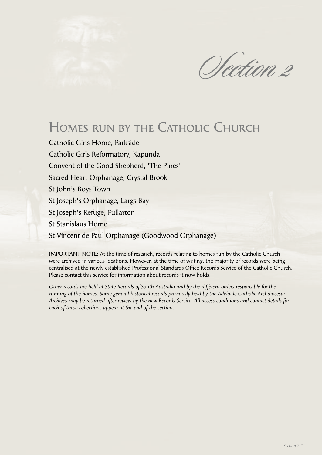

# Homes run by the Catholic Church

Catholic Girls Home, Parkside Catholic Girls Reformatory, Kapunda Convent of the Good Shepherd, 'The Pines' Sacred Heart Orphanage, Crystal Brook St John's Boys Town St Joseph's Orphanage, Largs Bay St Joseph's Refuge, Fullarton St Stanislaus Home St Vincent de Paul Orphanage (Goodwood Orphanage)

IMPORTANT NOTE: At the time of research, records relating to homes run by the Catholic Church were archived in various locations. However, at the time of writing, the majority of records were being centralised at the newly established Professional Standards Office Records Service of the Catholic Church. Please contact this service for information about records it now holds.

*Other records are held at State Records of South Australia and by the different orders responsible for the running of the homes. Some general historical records previously held by the Adelaide Catholic Archdiocesan Archives may be returned after review by the new Records Service. All access conditions and contact details for each of these collections appear at the end of the section.*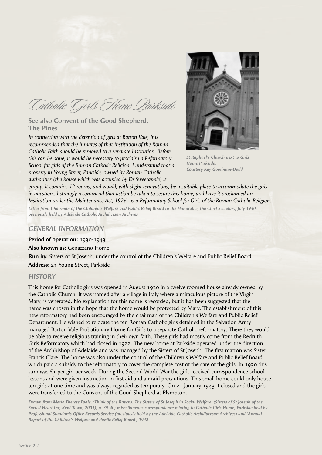Catholic Girls Home Parkside

## **See also Convent of the Good Shepherd, The Pines**

*In connection with the detention of girls at Barton Vale, it is recommended that the inmates of that Institution of the Roman Catholic Faith should be removed to a separate Institution. Before this can be done, it would be necessary to proclaim a Reformatory School for girls of the Roman Catholic Religion. I understand that a property in Young Street, Parkside, owned by Roman Catholic authorities (the house which was occupied by Dr Sweetapple) is* 



*St Raphael's Church next to Girls Home Parkside, Courtesy Kay Goodman-Dodd*

*empty. It contains 12 rooms, and would, with slight renovations, be a suitable place to accommodate the girls in question…I strongly recommend that action be taken to secure this home, and have it proclaimed an Institution under the Maintenance Act, 1926, as a Reformatory School for Girls of the Roman Catholic Religion. Letter from Chairman of the Children's Welfare and Public Relief Board to the Honorable, the Chief Secretary, July 1930, previously held by Adelaide Catholic Archdicesan Archives*

## *GENERAL INFORMATION*

**Period of operation:** 1930-1943

**Also known as:** Genazzano Home

**Run by:** Sisters of St Joseph, under the control of the Children's Welfare and Public Relief Board **Address:** 21 Young Street, Parkside

#### *HISTORY*

This home for Catholic girls was opened in August 1930 in a twelve roomed house already owned by the Catholic Church. It was named after a village in Italy where a miraculous picture of the Virgin Mary, is venerated. No explanation for this name is recorded, but it has been suggested that the name was chosen in the hope that the home would be protected by Mary. The establishment of this new reformatory had been encouraged by the chairman of the Children's Welfare and Public Relief Department. He wished to relocate the ten Roman Catholic girls detained in the Salvation Army managed Barton Vale Probationary Home for Girls to a separate Catholic reformatory. There they would be able to receive religious training in their own faith. These girls had mostly come from the Redruth Girls Reformatory which had closed in 1922. The new home at Parkside operated under the direction of the Archbishop of Adelaide and was managed by the Sisters of St Joseph. The first matron was Sister Francis Clare. The home was also under the control of the Children's Welfare and Public Relief Board which paid a subsidy to the reformatory to cover the complete cost of the care of the girls. In 1930 this sum was £1 per girl per week. During the Second World War the girls received correspondence school lessons and were given instruction in first aid and air raid precautions. This small home could only house ten girls at one time and was always regarded as temporary. On 21 January 1943 it closed and the girls were transferred to the Convent of the Good Shepherd at Plympton.

*Drawn from Marie Therese Foale, 'Think of the Ravens: The Sisters of St Joseph in Social Welfare' (Sisters of St Joseph of the Sacred Heart Inc, Kent Town, 2001), p. 39-40; miscellaneous correspondence relating to Catholic Girls Home, Parkside held by*  Professional Standards Office Records Service (previously held by the Adelaide Catholic Archdiocesan Archives) and 'Annual *Report of the Children's Welfare and Public Relief Board', 1942.*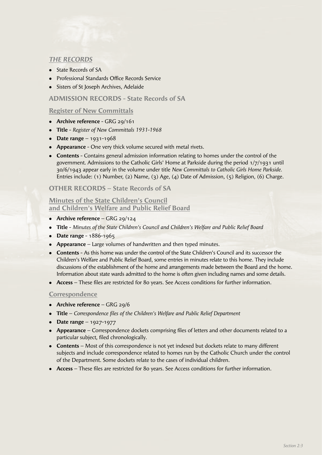# *THE RECORDS*

- State Records of SA
- Professional Standards Office Records Service
- Sisters of St Joseph Archives, Adelaide

# **ADMISSION RECORDS - State Records of SA**

# **Register of New Committals**

- **•** Archive reference GRG 29/161
- <sup>l</sup> **Title** *Register of New Committals 1931-1968*
- **•** Date range 1931-1968
- **Appearance** One very thick volume secured with metal rivets.
- **Contents** Contains general admission information relating to homes under the control of the government. Admissions to the Catholic Girls' Home at Parkside during the period 1/7/1931 until 30/6/1943 appear early in the volume under title *New Committals to Catholic Girls Home Parkside.* Entries include: (1) Number, (2) Name, (3) Age, (4) Date of Admission, (5) Religion, (6) Charge.

# **OTHER RECORDS – State Records of SA**

#### **Minutes of the State Children's Council and Children's Welfare and Public Relief Board**

- **Archive reference** GRG 29/124
- <sup>l</sup> **Title** *Minutes of the State Children's Council and Children's Welfare and Public Relief Board*
- **Date range** 1886-1965
- **Appearance** Large volumes of handwritten and then typed minutes.
- **Contents** As this home was under the control of the State Children's Council and its successor the Children's Welfare and Public Relief Board, some entries in minutes relate to this home. They include discussions of the establishment of the home and arrangements made between the Board and the home. Information about state wards admitted to the home is often given including names and some details.
- Access These files are restricted for 80 years. See Access conditions for further information.

## **Correspondence**

- **•** Archive reference GRG 29/6
- **Title** *Correspondence files of the Children's Welfare and Public Relief Department*
- **•** Date range 1927-1977
- **Appearance** Correspondence dockets comprising files of letters and other documents related to a particular subject, filed chronologically.
- **Contents** Most of this correspondence is not yet indexed but dockets relate to many different subjects and include correspondence related to homes run by the Catholic Church under the control of the Department. Some dockets relate to the cases of individual children.
- Access These files are restricted for 80 years. See Access conditions for further information.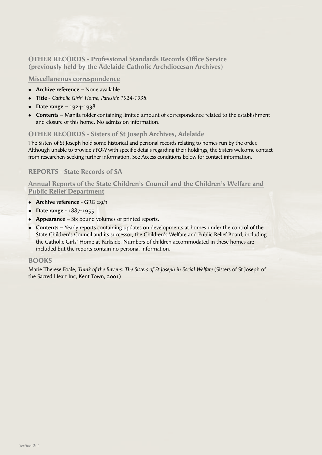

# **OTHER RECORDS - Professional Standards Records Office Service (previously held by the Adelaide Catholic Archdiocesan Archives)**

#### **Miscellaneous correspondence**

- **Archive reference** None available
- <sup>l</sup> **Title** *Catholic Girls' Home, Parkside 1924-1938.*
- **Date range** 1924-1938
- **Contents** Manila folder containing limited amount of correspondence related to the establishment and closure of this home. No admission information.

# **OTHER RECORDS - Sisters of St Joseph Archives, Adelaide**

The Sisters of St Joseph hold some historical and personal records relating to homes run by the order. Although unable to provide *FYOW* with specific details regarding their holdings, the Sisters welcome contact from researchers seeking further information. See Access conditions below for contact information.

# **REPORTS - State Records of SA**

# **Annual Reports of the State Children's Council and the Children's Welfare and Public Relief Department**

- **•** Archive reference GRG 29/1
- **•** Date range 1887-1955
- **Appearance** Six bound volumes of printed reports.
- **Contents** Yearly reports containing updates on developments at homes under the control of the State Children's Council and its successor, the Children's Welfare and Public Relief Board, including the Catholic Girls' Home at Parkside. Numbers of children accommodated in these homes are included but the reports contain no personal information.

## **BOOKS**

Marie Therese Foale, *Think of the Ravens: The Sisters of St Joseph in Social Welfare* (Sisters of St Joseph of the Sacred Heart Inc, Kent Town, 2001)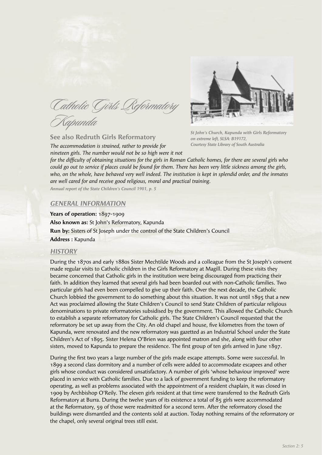Catholic Girls Reformatory Kapunda

**See also Redruth Girls Reformatory**

*The accommodation is strained, rather to provide for nineteen girls. The number would not be so high were it not* 



*St John's Church, Kapunda with Girls Reformatory on extreme left, SLSA: B19172, Courtesy State Library of South Australia*

*for the diffi culty of obtaining situations for the girls in Roman Catholic homes, for there are several girls who could go out to service if places could be found for them. There has been very little sickness among the girls, who, on the whole, have behaved very well indeed. The institution is kept in splendid order, and the inmates are well cared for and receive good religious, moral and practical training.*

*Annual report of the State Children's Council 1901, p. 5*

#### *GENERAL INFORMATION*

**Years of operation:** 1897-1909 **Also known as:** St John's Reformatory, Kapunda **Run by:** Sisters of St Joseph under the control of the State Children's Council **Address :** Kapunda

#### *HISTORY*

During the 1870s and early 1880s Sister Mechtilde Woods and a colleague from the St Joseph's convent made regular visits to Catholic children in the Girls Reformatory at Magill. During these visits they became concerned that Catholic girls in the institution were being discouraged from practicing their faith. In addition they learned that several girls had been boarded out with non-Catholic families. Two particular girls had even been compelled to give up their faith. Over the next decade, the Catholic Church lobbied the government to do something about this situation. It was not until 1895 that a new Act was proclaimed allowing the State Children's Council to send State Children of particular religious denominations to private reformatories subsidised by the government. This allowed the Catholic Church to establish a separate reformatory for Catholic girls. The State Children's Council requested that the reformatory be set up away from the City. An old chapel and house, five kilometres from the town of Kapunda, were renovated and the new reformatory was gazetted as an Industrial School under the State Children's Act of 1895. Sister Helena O'Brien was appointed matron and she, along with four other sisters, moved to Kapunda to prepare the residence. The first group of ten girls arrived in June 1897.

During the first two years a large number of the girls made escape attempts. Some were successful. In 1899 a second class dormitory and a number of cells were added to accommodate escapees and other girls whose conduct was considered unsatisfactory. A number of girls 'whose behaviour improved' were placed in service with Catholic families. Due to a lack of government funding to keep the reformatory operating, as well as problems associated with the appointment of a resident chaplain, it was closed in 1909 by Archbishop O'Reily. The eleven girls resident at that time were transferred to the Redruth Girls Reformatory at Burra. During the twelve years of its existence a total of 85 girls were accommodated at the Reformatory, 59 of those were readmitted for a second term. After the reformatory closed the buildings were dismantled and the contents sold at auction. Today nothing remains of the reformatory or the chapel, only several original trees still exist.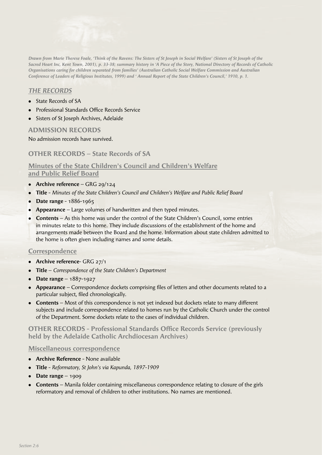

*Drawn from Marie Therese Foale, 'Think of the Ravens: The Sisters of St Joseph in Social Welfare' (Sisters of St Joseph of the Sacred Heart Inc, Kent Town, 2001), p. 33-38; summary history in 'A Piece of the Story, National Directory of Records of Catholic Organisations caring for children separated from families' (Australian Catholic Social Welfare Commission and Australian Conference of Leaders of Religious Institutes, 1999) and ' Annual Report of the State Children's Council,' 1910, p. 1.*

# *THE RECORDS*

- State Records of SA
- Professional Standards Office Records Service
- Sisters of St Joseph Archives, Adelaide

# **ADMISSION RECORDS**

No admission records have survived.

# **OTHER RECORDS – State Records of SA**

# **Minutes of the State Children's Council and Children's Welfare and Public Relief Board**

- **•** Archive reference GRG 29/124
- <sup>l</sup> **Title** - *Minutes of the State Children's Council and Children's Welfare and Public Relief Board*
- **•** Date range 1886-1965
- **Appearance** Large volumes of handwritten and then typed minutes.
- **Contents** As this home was under the control of the State Children's Council, some entries in minutes relate to this home. They include discussions of the establishment of the home and arrangements made between the Board and the home. Information about state children admitted to the home is often given including names and some details.

## **Correspondence**

- **•** Archive reference- GRG 27/1
- **Title** *Correspondence of the State Children's Department*
- **Date range** 1887-1927
- **Appearance** Correspondence dockets comprising files of letters and other documents related to a particular subject, filed chronologically.
- **Contents** Most of this correspondence is not yet indexed but dockets relate to many different subjects and include correspondence related to homes run by the Catholic Church under the control of the Department. Some dockets relate to the cases of individual children.

**OTHER RECORDS - Professional Standards Office Records Service (previously held by the Adelaide Catholic Archdiocesan Archives)**

#### **Miscellaneous correspondence**

- **Archive Reference** None available
- <sup>l</sup> **Title** *Reformatory, St John's via Kapunda, 1897-1909*
- $\bullet$  **Date range** 1909
- **Contents** Manila folder containing miscellaneous correspondence relating to closure of the girls reformatory and removal of children to other institutions. No names are mentioned.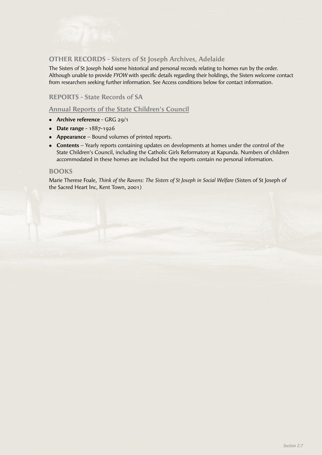# **OTHER RECORDS - Sisters of St Joseph Archives, Adelaide**

The Sisters of St Joseph hold some historical and personal records relating to homes run by the order. Although unable to provide *FYOW* with specific details regarding their holdings, the Sisters welcome contact from researchers seeking further information. See Access conditions below for contact information.

# **REPORTS - State Records of SA**

# **Annual Reports of the State Children's Council**

- **•** Archive reference GRG 29/1
- **•** Date range 1887-1926
- **Appearance** Bound volumes of printed reports.
- **Contents** Yearly reports containing updates on developments at homes under the control of the State Children's Council, including the Catholic Girls Reformatory at Kapunda. Numbers of children accommodated in these homes are included but the reports contain no personal information.

#### **BOOKS**

Marie Therese Foale, *Think of the Ravens: The Sisters of St Joseph in Social Welfare* (Sisters of St Joseph of the Sacred Heart Inc, Kent Town, 2001)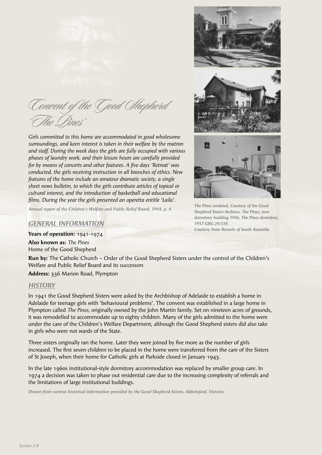Convent of the Good Shepherd 'The Pines'

*Girls committed to this home are accommodated in good wholesome surroundings, and keen interest is taken in their welfare by the matron and staff. During the week days the girls are fully occupied with various phases of laundry work, and their leisure hours are carefully provided for by means of concerts and other features. A five days 'Retreat' was conducted, the girls receiving instruction in all branches of ethics. New features of the home include an amateur dramatic society, a single sheet news bulletin, to which the girls contribute articles of topical or cultural interest, and the introduction of basketball and educational fi lms. During the year the girls presented an operetta entitle 'Laila'.*



*1957 GRG 29/139,*

*Courtesy State Records of South Australia*

*Annual report of the Children's Welfare and Public Relief Board, 1944, p. 4*

#### *GENERAL INFORMATION*

**Years of operation:** 1941-1974

**Also known as:** *The Pines* Home of the Good Shepherd

**Run by:** The Catholic Church – Order of the Good Shepherd Sisters under the control of the Children's Welfare and Public Relief Board and its successors

**Address:** 336 Marion Road, Plympton

#### *HISTORY*

In 1941 the Good Shepherd Sisters were asked by the Archbishop of Adelaide to establish a home in Adelaide for teenage girls with 'behavioural problems'. The convent was established in a large home in Plympton called *The Pines,* originally owned by the John Martin family. Set on nineteen acres of grounds, it was remodelled to accommodate up to eighty children. Many of the girls admitted to the home were under the care of the Children's Welfare Department, although the Good Shepherd sisters did also take in girls who were not wards of the State.

Three sisters originally ran the home. Later they were joined by five more as the number of girls increased. The first seven children to be placed in the home were transferred from the care of the Sisters of St Joseph, when their home for Catholic girls at Parkside closed in January 1943.

In the late 1960s institutional-style dormitory accommodation was replaced by smaller group care. In 1974 a decision was taken to phase out residential care due to the increasing complexity of referrals and the limitations of large institutional buildings.

*Drawn from various historical information provided by the Good Shepherd Sisters, Abbotsford, Victoria.*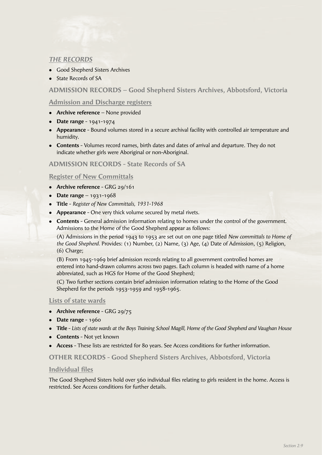# *THE RECORDS*

- Good Shepherd Sisters Archives
- State Records of SA

# **ADMISSION RECORDS – Good Shepherd Sisters Archives, Abbotsford, Victoria**

# **Admission and Discharge registers**

- **Archive reference** None provided
- **•** Date range 1941-1974
- **Appearance** Bound volumes stored in a secure archival facility with controlled air temperature and humidity.
- **Contents** Volumes record names, birth dates and dates of arrival and departure. They do not indicate whether girls were Aboriginal or non-Aboriginal.

# **ADMISSION RECORDS - State Records of SA**

## **Register of New Committals**

- **Archive reference** GRG 29/161
- **•** Date range 1931-1968
- <sup>l</sup> **Title** *Register of New Committals, 1931-1968*
- **Appearance** One very thick volume secured by metal rivets.
- **Contents** General admission information relating to homes under the control of the government. Admissions to the Home of the Good Shepherd appear as follows:

 (A) Admissions in the period 1943 to 1953 are set out on one page titled *New committals to Home of the Good Shepherd.* Provides: (1) Number, (2) Name, (3) Age, (4) Date of Admission, (5) Religion, (6) Charge;

 (B) From 1945-1969 brief admission records relating to all government controlled homes are entered into hand-drawn columns across two pages. Each column is headed with name of a home abbreviated, such as HGS for Home of the Good Shepherd;

 (C) Two further sections contain brief admission information relating to the Home of the Good Shepherd for the periods 1953-1959 and 1958-1965.

## **Lists of state wards**

- Archive reference GRG 29/75
- **•** Date range 1960
- <sup>l</sup> **Title** *Lists of state wards at the Boys Training School Magill, Home of the Good Shepherd and Vaughan House*
- **Contents** Not yet known
- **Access** These lists are restricted for 80 years. See Access conditions for further information.

## **OTHER RECORDS - Good Shepherd Sisters Archives, Abbotsford, Victoria**

## **Individual files**

The Good Shepherd Sisters hold over 560 individual files relating to girls resident in the home. Access is restricted. See Access conditions for further details.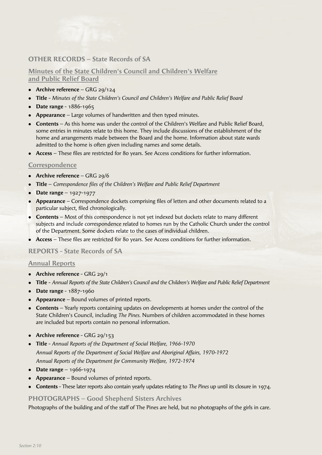# **OTHER RECORDS – State Records of SA**

# **Minutes of the State Children's Council and Children's Welfare and Public Relief Board**

- **Archive reference** GRG 29/124
- <sup>l</sup> **Title** *Minutes of the State Children's Council and Children's Welfare and Public Relief Board*
- **•** Date range 1886-1965
- **Appearance** Large volumes of handwritten and then typed minutes.
- <sup>l</sup> **Contents** As this home was under the control of the Children's Welfare and Public Relief Board, some entries in minutes relate to this home. They include discussions of the establishment of the home and arrangements made between the Board and the home. Information about state wards admitted to the home is often given including names and some details.
- Access These files are restricted for 80 years. See Access conditions for further information.

#### **Correspondence**

- **•** Archive reference GRG 29/6
- Title *Correspondence files of the Children's Welfare and Public Relief Department*
- **•** Date range 1927-1977
- **Appearance** Correspondence dockets comprising files of letters and other documents related to a particular subject, filed chronologically.
- **Contents** Most of this correspondence is not yet indexed but dockets relate to many different subjects and include correspondence related to homes run by the Catholic Church under the control of the Department. Some dockets relate to the cases of individual children.
- Access These files are restricted for 80 years. See Access conditions for further information.

#### **REPORTS - State Records of SA**

#### **Annual Reports**

- **•** Archive reference GRG 29/1
- <sup>l</sup> **Title** *Annual Reports of the State Children's Council and the Children's Welfare and Public Relief Department*
- **•** Date range 1887-1960
- **Appearance** Bound volumes of printed reports.
- **Contents** Yearly reports containing updates on developments at homes under the control of the State Children's Council, including *The Pines.* Numbers of children accommodated in these homes are included but reports contain no personal information.
- **•** Archive reference GRG 29/153
- <sup>l</sup> **Title** *Annual Reports of the Department of Social Welfare, 1966-1970 Annual Reports of the Department of Social Welfare and Aboriginal Affairs, 1970-1972 Annual Reports of the Department for Community Welfare, 1972-1974*
- Date range  $1966 1974$
- **Appearance** Bound volumes of printed reports.
- <sup>l</sup> **Contents** These later reports also contain yearly updates relating to *The Pines* up until its closure in 1974.

#### **PHOTOGRAPHS – Good Shepherd Sisters Archives**

Photographs of the building and of the staff of The Pines are held, but no photographs of the girls in care.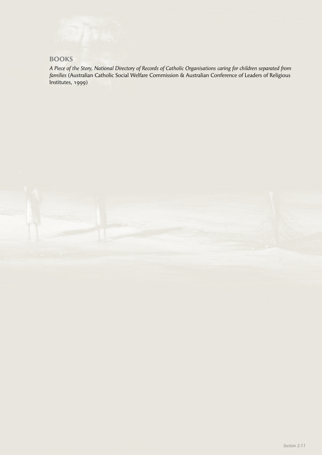# **BOOKS**

*A Piece of the Story, National Directory of Records of Catholic Organisations caring for children separated from families* (Australian Catholic Social Welfare Commission & Australian Conference of Leaders of Religious Institutes, 1999)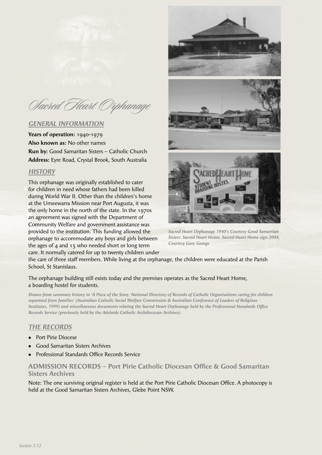Sacred Heart Orphanage

## *GENERAL INFORMATION*

**Years of operation:** 1940-1979 **Also known as:** No other names **Run by:** Good Samaritan Sisters – Catholic Church **Address:** Eyre Road, Crystal Brook, South Australia

## *HISTORY*

This orphanage was originally established to cater for children in need whose fathers had been killed during World War II. Other than the children's home at the Umeewarra Mission near Port Augusta, it was the only home in the north of the state. In the 1970s an agreement was signed with the Department of Community Welfare and government assistance was provided to the institution. This funding allowed the orphanage to accommodate any boys and girls between the ages of 4 and 15 who needed short or long term care. It normally catered for up to twenty children under



*Sacred Heart Orphanage 1940's Courtesy Good Samaritan Sisters. Sacred Heart Home, Sacred Heart Home sign 2004, Courtesy Gary George*

the care of three staff members. While living at the orphanage, the children were educated at the Parish School, St Stanislaus.

## The orphanage building still exists today and the premises operates as the Sacred Heart Home, a boarding hostel for students.

*Drawn from summary history in 'A Piece of the Story, National Directory of Records of Catholic Organisations caring for children separated from families' (Australian Catholic Social Welfare Commission & Australian Conference of Leaders of Religious Institutes, 1999) and miscellaneous documents relating the Sacred Heart Orphanage held by the Professional Standards Office Records Service (previously held by the Adelaide Catholic Archdiocesan Archives).*

# *THE RECORDS*

- Port Pirie Diocese
- Good Samaritan Sisters Archives
- Professional Standards Office Records Service

# **ADMISSION RECORDS – Port Pirie Catholic Diocesan Office & Good Samaritan Sisters Archives**

Note: The one surviving original register is held at the Port Pirie Catholic Diocesan Office. A photocopy is held at the Good Samaritan Sisters Archives, Glebe Point NSW.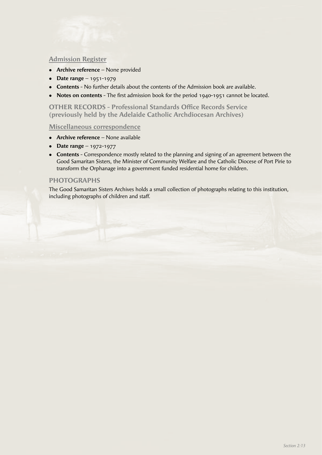# **Admission Register**

- **Archive reference** None provided
- **•** Date range 1951-1979
- **Contents** No further details about the contents of the Admission book are available.
- Notes on contents The first admission book for the period 1940-1951 cannot be located.

**OTHER RECORDS - Professional Standards Office Records Service (previously held by the Adelaide Catholic Archdiocesan Archives)**

#### **Miscellaneous correspondence**

- **•** Archive reference None available
- **•** Date range 1972-1977
- **Contents** Correspondence mostly related to the planning and signing of an agreement between the Good Samaritan Sisters, the Minister of Community Welfare and the Catholic Diocese of Port Pirie to transform the Orphanage into a government funded residential home for children.

# **PHOTOGRAPHS**

The Good Samaritan Sisters Archives holds a small collection of photographs relating to this institution, including photographs of children and staff.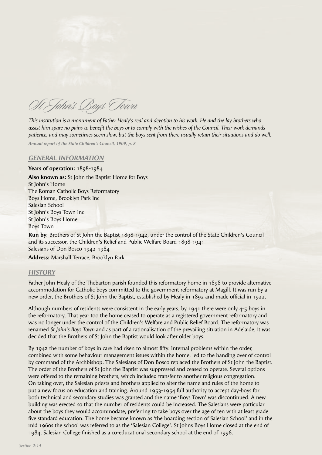

St John's Boys Town

*This institution is a monument of Father Healy's zeal and devotion to his work. He and the lay brothers who assist him spare no pains to benefi t the boys or to comply with the wishes of the Council. Their work demands patience, and may sometimes seem slow, but the boys sent from there usually retain their situations and do well.* 

*Annual report of the State Children's Council, 1909, p. 8*

## *GENERAL INFORMATION*

**Years of operation:** 1898-1984 **Also known as:** St John the Baptist Home for Boys St John's Home The Roman Catholic Boys Reformatory Boys Home, Brooklyn Park Inc Salesian School St John's Boys Town Inc St John's Boys Home Boys Town

**Run by:** Brothers of St John the Baptist 1898-1942, under the control of the State Children's Council and its successor, the Children's Relief and Public Welfare Board 1898-1941 Salesians of Don Bosco 1942-1984

**Address:** Marshall Terrace, Brooklyn Park

## *HISTORY*

Father John Healy of the Thebarton parish founded this reformatory home in 1898 to provide alternative accommodation for Catholic boys committed to the government reformatory at Magill. It was run by a new order, the Brothers of St John the Baptist, established by Healy in 1892 and made official in 1922.

Although numbers of residents were consistent in the early years, by 1941 there were only 4-5 boys in the reformatory. That year too the home ceased to operate as a registered government reformatory and was no longer under the control of the Children's Welfare and Public Relief Board. The reformatory was renamed *St John's Boys Town* and as part of a rationalisation of the prevailing situation in Adelaide, it was decided that the Brothers of St John the Baptist would look after older boys.

By 1942 the number of boys in care had risen to almost fifty. Internal problems within the order, combined with some behaviour management issues within the home, led to the handing over of control by command of the Archbishop. The Salesians of Don Bosco replaced the Brothers of St John the Baptist. The order of the Brothers of St John the Baptist was suppressed and ceased to operate. Several options were offered to the remaining brothers, which included transfer to another religious congregation. On taking over, the Salesian priests and brothers applied to alter the name and rules of the home to put a new focus on education and training. Around 1953-1954 full authority to accept day-boys for both technical and secondary studies was granted and the name 'Boys Town' was discontinued. A new building was erected so that the number of residents could be increased. The Salesians were particular about the boys they would accommodate, preferring to take boys over the age of ten with at least grade five standard education. The home became known as 'the boarding section of Salesian School' and in the mid 1960s the school was referred to as the 'Salesian College'. St Johns Boys Home closed at the end of 1984. Salesian College finished as a co-educational secondary school at the end of 1996.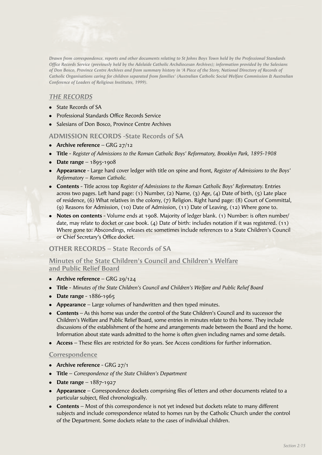

*Drawn from correspondence, reports and other documents relating to St Johns Boys Town held by the Professional Standards Office Records Service (previously held by the Adelaide Catholic Archdiocesan Archives); information provided by the Salesians of Don Bosco, Province Centre Archives and from summary history in 'A Piece of the Story, National Directory of Records of Catholic Organisations caring for children separated from families' (Australian Catholic Social Welfare Commission & Australian Conference of Leaders of Religious Institutes, 1999).*

# *THE RECORDS*

- State Records of SA
- Professional Standards Office Records Service
- Salesians of Don Bosco, Province Centre Archives

#### **ADMISSION RECORDS -State Records of SA**

- Archive reference GRG 27/12
- **Title** *Register of Admissions to the Roman Catholic Boys' Reformatory, Brooklyn Park, 1895-1908*
- **•** Date range  $1895-1908$
- <sup>l</sup> **Appearance** Large hard cover ledger with title on spine and front, *Register of Admissions to the Boys' Reformatory – Roman Catholic.*
- <sup>l</sup> **Contents** Title across top *Register of Admissions to the Roman Catholic Boys' Reformatory.* Entries across two pages. Left hand page: (1) Number, (2) Name, (3) Age, (4) Date of birth, (5) Late place of residence, (6) What relatives in the colony, (7) Religion. Right hand page: (8) Court of Committal, (9) Reasons for Admission, (10) Date of Admission, (11) Date of Leaving, (12) Where gone to.
- **Notes on contents** Volume ends at 1908. Majority of ledger blank. (1) Number: is often number/ date, may relate to docket or case book. (4) Date of birth: includes notation if it was registered. (11) Where gone to: Abscondings, releases etc sometimes include references to a State Children's Council or Chief Secretary's Office docket.

#### **OTHER RECORDS – State Records of SA**

## **Minutes of the State Children's Council and Children's Welfare and Public Relief Board**

- Archive reference GRG 29/124
- <sup>l</sup> **Title** *Minutes of the State Children's Council and Children's Welfare and Public Relief Board*
- **Date range** 1886-1965
- **Appearance** Large volumes of handwritten and then typed minutes.
- **Contents** As this home was under the control of the State Children's Council and its successor the Children's Welfare and Public Relief Board, some entries in minutes relate to this home. They include discussions of the establishment of the home and arrangements made between the Board and the home. Information about state wards admitted to the home is often given including names and some details.
- Access These files are restricted for 80 years. See Access conditions for further information.

#### **Correspondence**

- Archive reference GRG 27/1
- <sup>l</sup> **Title** *Correspondence of the State Children's Department*
- **•** Date range  $1887-1927$
- **Appearance** Correspondence dockets comprising files of letters and other documents related to a particular subject, filed chronologically.
- **Contents** Most of this correspondence is not yet indexed but dockets relate to many different subjects and include correspondence related to homes run by the Catholic Church under the control of the Department. Some dockets relate to the cases of individual children.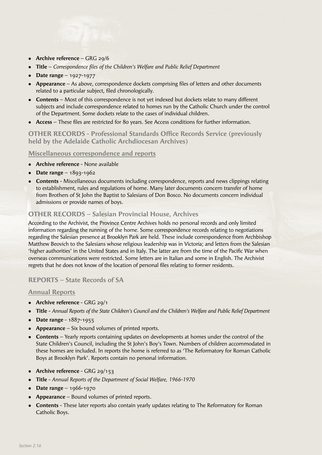- **Archive reference** GRG 29/6
- **Title** *Correspondence files of the Children's Welfare and Public Relief Department*
- **Date range** 1927-1977
- **Appearance** As above, correspondence dockets comprising files of letters and other documents related to a particular subject, filed chronologically.
- **Contents** Most of this correspondence is not yet indexed but dockets relate to many different subjects and include correspondence related to homes run by the Catholic Church under the control of the Department. Some dockets relate to the cases of individual children.
- Access These files are restricted for 80 years. See Access conditions for further information.

**OTHER RECORDS - Professional Standards Office Records Service (previously held by the Adelaide Catholic Archdiocesan Archives)**

# **Miscellaneous correspondence and reports**

- **Archive reference** None available
- **•** Date range  $1893-1962$
- **Contents** Miscellaneous documents including correspondence, reports and news clippings relating to establishment, rules and regulations of home. Many later documents concern transfer of home from Brothers of St John the Baptist to Salesians of Don Bosco. No documents concern individual admissions or provide names of boys.

# **OTHER RECORDS – Salesian Provincial House, Archives**

According to the Archivist, the Province Centre Archives holds no personal records and only limited information regarding the running of the home. Some correspondence records relating to negotiations regarding the Salesian presence at Brooklyn Park are held. These include correspondence from Archbishop Matthew Beovich to the Salesians whose religious leadership was in Victoria; and letters from the Salesian 'higher authorities' in the United States and in Italy. The latter are from the time of the Pacific War when overseas communications were restricted. Some letters are in Italian and some in English. The Archivist regrets that he does not know of the location of personal files relating to former residents.

# **REPORTS – State Records of SA**

# **Annual Reports**

- **•** Archive reference GRG 29/1
- <sup>l</sup> **Title** *Annual Reports of the State Children's Council and the Children's Welfare and Public Relief Department*
- **•** Date range 1887-1955
- **Appearance** Six bound volumes of printed reports.
- **Contents** Yearly reports containing updates on developments at homes under the control of the State Children's Council, including the St John's Boy's Town. Numbers of children accommodated in these homes are included. In reports the home is referred to as 'The Reformatory for Roman Catholic Boys at Brooklyn Park'. Reports contain no personal information.
- **•** Archive reference GRG 29/153
- **Title** *Annual Reports of the Department of Social Welfare, 1966-1970*
- **•** Date range 1966-1970
- **Appearance** Bound volumes of printed reports.
- **Contents** These later reports also contain yearly updates relating to The Reformatory for Roman Catholic Boys.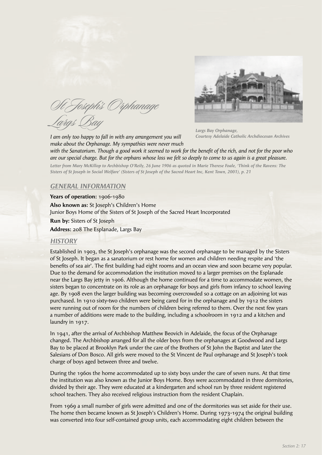St Joseph's Orphanage ras (Ra

*I am only too happy to fall in with any arrangement you will make about the Orphanage. My sympathies were never much* 



*Largs Bay Orphanage, Courtesy Adelaide Catholic Archdiocesan Archives*

with the Sanatorium. Though a good work it seemed to work for the benefit of the rich, and not for the poor who *are our special charge. But for the orphans whose loss we felt so deeply to come to us again is a great pleasure.*

*Letter from Mary McKillop to Archbishop O'Reily, 26 June 1906 as quoted in Marie Therese Foale, 'Think of the Ravens: The Sisters of St Joseph in Social Welfare' (Sisters of St Joseph of the Sacred Heart Inc, Kent Town, 2001), p. 21*

## *GENERAL INFORMATION*

**Years of operation:** 1906-1980 **Also known as:** St Joseph's Children's Home Junior Boys Home of the Sisters of St Joseph of the Sacred Heart Incorporated **Run by:** Sisters of St Joseph **Address:** 208 The Esplanade, Largs Bay

#### *HISTORY*

Established in 1903, the St Joseph's orphanage was the second orphanage to be managed by the Sisters of St Joseph. It began as a sanatorium or rest home for women and children needing respite and 'the benefits of sea air'. The first building had eight rooms and an ocean view and soon became very popular. Due to the demand for accommodation the institution moved to a larger premises on the Esplanade near the Largs Bay jetty in 1906. Although the home continued for a time to accommodate women, the sisters began to concentrate on its role as an orphanage for boys and girls from infancy to school leaving age. By 1908 even the larger building was becoming overcrowded so a cottage on an adjoining lot was purchased. In 1910 sixty-two children were being cared for in the orphanage and by 1912 the sisters were running out of room for the numbers of children being referred to them. Over the next few years a number of additions were made to the building, including a schoolroom in 1912 and a kitchen and laundry in 1917.

In 1941, after the arrival of Archbishop Matthew Beovich in Adelaide, the focus of the Orphanage changed. The Archbishop arranged for all the older boys from the orphanages at Goodwood and Largs Bay to be placed at Brooklyn Park under the care of the Brothers of St John the Baptist and later the Salesians of Don Bosco. All girls were moved to the St Vincent de Paul orphanage and St Joseph's took charge of boys aged between three and twelve.

During the 1960s the home accommodated up to sixty boys under the care of seven nuns. At that time the institution was also known as the Junior Boys Home. Boys were accommodated in three dormitories, divided by their age. They were educated at a kindergarten and school run by three resident registered school teachers. They also received religious instruction from the resident Chaplain.

From 1969 a small number of girls were admitted and one of the dormitories was set aside for their use. The home then became known as St Joseph's Children's Home. During 1973-1974 the original building was converted into four self-contained group units, each accommodating eight children between the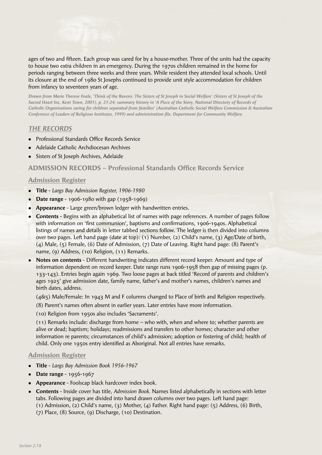

ages of two and fifteen. Each group was cared for by a house-mother. Three of the units had the capacity to house two extra children in an emergency. During the 1970s children remained in the home for periods ranging between three weeks and three years. While resident they attended local schools. Until its closure at the end of 1980 St Josephs continued to provide unit style accommodation for children from infancy to seventeen years of age.

*Drawn from Marie Therese Foale, 'Think of the Ravens: The Sisters of St Joseph in Social Welfare' (Sisters of St Joseph of the Sacred Heart Inc, Kent Town, 2001), p. 21-24; summary history in 'A Piece of the Story, National Directory of Records of Catholic Organisations caring for children separated from families' (Australian Catholic Social Welfare Commission & Australian Conference of Leaders of Religious Institutes, 1999) and administration fi le, Department for Community Welfare.*

# *THE RECORDS*

- Professional Standards Office Records Service
- <sup>l</sup> Adelaide Catholic Archdiocesan Archives
- Sisters of St Joseph Archives, Adelaide

# **ADMISSION RECORDS – Professional Standards Office Records Service**

## **Admission Register**

- <sup>l</sup> **Title** *Largs Bay Admission Register, 1906-1980*
- **•** Date range 1906-1980 with gap (1958-1969)
- **Appearance** Large green/brown ledger with handwritten entries.
- **Contents** Begins with an alphabetical list of names with page references. A number of pages follow with information on 'first communion', baptisms and confirmations, 1906-1940s. Alphabetical listings of names and details in letter tabbed sections follow. The ledger is then divided into columns over two pages. Left hand page (date at top): (1) Number, (2) Child's name, (3) Age/Date of birth, (4) Male, (5) Female, (6) Date of Admission, (7) Date of Leaving. Right hand page: (8) Parent's name, (9) Address, (10) Religion, (11) Remarks.
- <sup>l</sup> **Notes on contents** Different handwriting indicates different record keeper. Amount and type of information dependent on record keeper. Date range runs 1906-1958 then gap of missing pages (p. 133-143). Entries begin again 1969. Two loose pages at back titled 'Record of parents and children's ages 1925' give admission date, family name, father's and mother's names, children's names and birth dates, address.

(4&5) Male/Female: In 1943 M and F columns changed to Place of birth and Religion respectively.

(8) Parent's names often absent in earlier years. Later entries have more information.

(10) Religion from 1950s also includes 'Sacraments'.

 (11) Remarks include: discharge from home – who with, when and where to; whether parents are alive or dead; baptism; holidays; readmissions and transfers to other homes; character and other information re parents; circumstances of child's admission; adoption or fostering of child; health of child. Only one 1950s entry identified as Aboriginal. Not all entries have remarks.

- <sup>l</sup> **Title** *Largs Bay Admission Book 1956-1967*
- **Date range** 1956-1967
- **Appearance** Foolscap black hardcover index book.
- <sup>l</sup> **Contents** Inside cover has title, *Admission Book.* Names listed alphabetically in sections with letter tabs. Following pages are divided into hand drawn columns over two pages. Left hand page: (1) Admission, (2) Child's name, (3) Mother, (4) Father. Right hand page: (5) Address, (6) Birth, (7) Place, (8) Source, (9) Discharge, (10) Destination.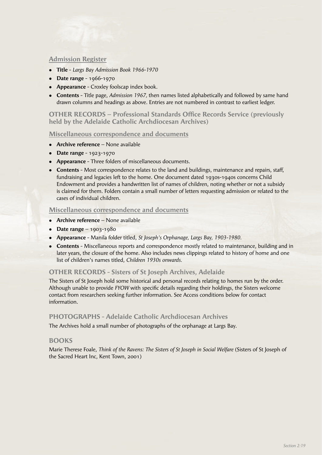## **Admission Register**

- <sup>l</sup> **Title** *Largs Bay Admission Book 1966-1970*
- **•** Date range 1966-1970
- **Appearance** Croxley foolscap index book.
- **Contents** Title page, *Admission 1967*, then names listed alphabetically and followed by same hand drawn columns and headings as above. Entries are not numbered in contrast to earliest ledger.

**OTHER RECORDS – Professional Standards Office Records Service (previously held by the Adelaide Catholic Archdiocesan Archives)**

#### **Miscellaneous correspondence and documents**

- **Archive reference** None available
- **•** Date range 1923-1970
- **Appearance** Three folders of miscellaneous documents.
- **Contents** Most correspondence relates to the land and buildings, maintenance and repairs, staff, fundraising and legacies left to the home. One document dated 1930s-1940s concerns Child Endowment and provides a handwritten list of names of children, noting whether or not a subsidy is claimed for them. Folders contain a small number of letters requesting admission or related to the cases of individual children.

#### **Miscellaneous correspondence and documents**

- **Archive reference** None available
- **•** Date range 1903-1980
- <sup>l</sup> **Appearance** Manila folder titled, *St Joseph's Orphanage, Largs Bay, 1903-1980.*
- **Contents** Miscellaneous reports and correspondence mostly related to maintenance, building and in later years, the closure of the home. Also includes news clippings related to history of home and one list of children's names titled, *Children 1930s onwards.*

## **OTHER RECORDS - Sisters of St Joseph Archives, Adelaide**

The Sisters of St Joseph hold some historical and personal records relating to homes run by the order. Although unable to provide *FYOW* with specific details regarding their holdings, the Sisters welcome contact from researchers seeking further information. See Access conditions below for contact information.

## **PHOTOGRAPHS - Adelaide Catholic Archdiocesan Archives**

The Archives hold a small number of photographs of the orphanage at Largs Bay.

## **BOOKS**

Marie Therese Foale, *Think of the Ravens: The Sisters of St Joseph in Social Welfare* (Sisters of St Joseph of the Sacred Heart Inc, Kent Town, 2001)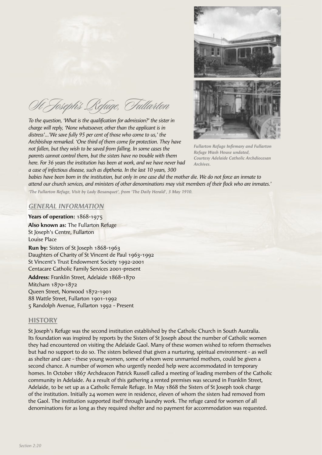St Joseph's Refuge, Fullarton

To the question, 'What is the qualification for admission?' the sister in *charge will reply, 'None whatsoever, other than the applicant is in distress'…'We save fully 95 per cent of those who come to us,' the Archbishop remarked. 'One third of them come for protection. They have not fallen, but they wish to be saved from falling. In some cases the parents cannot control them, but the sisters have no trouble with them here. For 36 years the institution has been at work, and we have never had a case of infectious disease, such as diptheria. In the last 10 years, 300* 



**Fullarton Refuge Infirmary and Fullarton** *Refuge Wash House undated, Courtesy Adelaide Catholic Archdiocesan Archives.*

*babies have been born in the institution, but only in one case did the mother die. We do not force an inmate to*  attend our church services, and ministers of other denominations may visit members of their flock who are inmates.'

*'The Fullarton Refuge, Visit by Lady Bosanquet', from 'The Daily Herald', 3 May 1910.*

# *GENERAL INFORMATION*

**Years of operation:** 1868-1975 **Also known as:** The Fullarton Refuge St Joseph's Centre, Fullarton Louise Place

**Run by:** Sisters of St Joseph 1868-1963 Daughters of Charity of St Vincent de Paul 1963-1992 St Vincent's Trust Endowment Society 1992-2001 Centacare Catholic Family Services 2001-present

**Address:** Franklin Street, Adelaide 1868-1870 Mitcham 1870-1872 Queen Street, Norwood 1872-1901 88 Wattle Street, Fullarton 1901-1992 5 Randolph Avenue, Fullarton 1992 - Present

## **HISTORY**

St Joseph's Refuge was the second institution established by the Catholic Church in South Australia. Its foundation was inspired by reports by the Sisters of St Joseph about the number of Catholic women they had encountered on visiting the Adelaide Gaol. Many of these women wished to reform themselves but had no support to do so. The sisters believed that given a nurturing, spiritual environment - as well as shelter and care - these young women, some of whom were unmarried mothers, could be given a second chance. A number of women who urgently needed help were accommodated in temporary homes. In October 1867 Archdeacon Patrick Russell called a meeting of leading members of the Catholic community in Adelaide. As a result of this gathering a rented premises was secured in Franklin Street, Adelaide, to be set up as a Catholic Female Refuge. In May 1868 the Sisters of St Joseph took charge of the institution. Initially 24 women were in residence, eleven of whom the sisters had removed from the Gaol. The institution supported itself through laundry work. The refuge cared for women of all denominations for as long as they required shelter and no payment for accommodation was requested.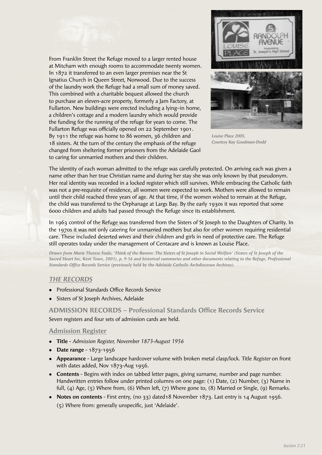From Franklin Street the Refuge moved to a larger rented house at Mitcham with enough rooms to accommodate twenty women. In 1872 it transferred to an even larger premises near the St Ignatius Church in Queen Street, Norwood. Due to the success of the laundry work the Refuge had a small sum of money saved. This combined with a charitable bequest allowed the church to purchase an eleven-acre property, formerly a Jam Factory, at Fullarton. New buildings were erected including a lying–in home, a children's cottage and a modern laundry which would provide the funding for the running of the refuge for years to come. The Fullarton Refuge was officially opened on 22 September 1901. By 1911 the refuge was home to 86 women, 36 children and 18 sisters. At the turn of the century the emphasis of the refuge changed from sheltering former prisoners from the Adelaide Gaol to caring for unmarried mothers and their children.



*Louise Place 2005, Courtesy Kay Goodman-Dodd*

The identity of each woman admitted to the refuge was carefully protected. On arriving each was given a name other than her true Christian name and during her stay she was only known by that pseudonym. Her real identity was recorded in a locked register which still survives. While embracing the Catholic faith was not a pre-requisite of residence, all women were expected to work. Mothers were allowed to remain until their child reached three years of age. At that time, if the women wished to remain at the Refuge, the child was transferred to the Orphanage at Largs Bay. By the early 1930s it was reported that some 6000 children and adults had passed through the Refuge since its establishment.

In 1963 control of the Refuge was transferred from the Sisters of St Joseph to the Daughters of Charity. In the 1970s it was not only catering for unmarried mothers but also for other women requiring residential care. These included deserted wives and their children and girls in need of protective care. The Refuge still operates today under the management of Centacare and is known as Louise Place.

*Drawn from Marie Therese Foale, 'Think of the Ravens: The Sisters of St Joseph in Social Welfare' (Sisters of St Joseph of the Sacred Heart Inc, Kent Town, 2001), p. 9-16 and historical summaries and other documents relating to the Refuge, Professional*  Standards Office Records Service (previously held by the Adelaide Catholic Archdiocesan Archives).

## *THE RECORDS*

- **Professional Standards Office Records Service**
- Sisters of St Joseph Archives, Adelaide

## **ADMISSION RECORDS - Professional Standards Office Records Service**

Seven registers and four sets of admission cards are held.

- <sup>l</sup> **Title** *Admission Register, November 1873-August 1956*
- **•** Date range 1873-1956
- <sup>l</sup> **Appearance** Large landscape hardcover volume with broken metal clasp/lock. Title *Register* on front with dates added, Nov 1873-Aug 1956.
- **Contents** Begins with index on tabbed letter pages, giving surname, number and page number. Handwritten entries follow under printed columns on one page: (1) Date, (2) Number, (3) Name in full, (4) Age, (5) Where from, (6) When left, (7) Where gone to, (8) Married or Single, (9) Remarks.
- <sup>l</sup> **Notes on contents** First entry, (no 33) dated18 November 1873. Last entry is 14 August 1956. (5) Where from: generally unspecific, just 'Adelaide'.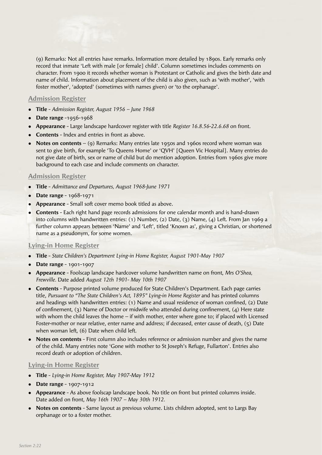(9) Remarks: Not all entries have remarks. Information more detailed by 1890s. Early remarks only record that inmate 'Left with male [or female] child'. Column sometimes includes comments on character. From 1900 it records whether woman is Protestant or Catholic and gives the birth date and name of child. Information about placement of the child is also given, such as 'with mother', 'with foster mother', 'adopted' (sometimes with names given) or 'to the orphanage'.

#### **Admission Register**

- <sup>l</sup> **Title** *Admission Register, August 1956 June 1968*
- **Date range** -1956-1968
- <sup>l</sup> **Appearance** Large landscape hardcover register with title *Register 16.8.56-22.6.68* on front.
- **Contents** Index and entries in front as above.
- Notes on contents (9) Remarks: Many entries late 1950s and 1960s record where woman was sent to give birth, for example 'To Queens Home' or 'QVH' [Queen Vic Hospital]. Many entries do not give date of birth, sex or name of child but do mention adoption. Entries from 1960s give more background to each case and include comments on character.

#### **Admission Register**

- <sup>l</sup> **Title** *Admittance and Departures, August 1968-June 1971*
- **•** Date range 1968-1971
- **Appearance** Small soft cover memo book titled as above.
- <sup>l</sup> **Contents** Each right hand page records admissions for one calendar month and is hand-drawn into columns with handwritten entries: (1) Number, (2) Date, (3) Name, (4) Left. From Jan 1969 a further column appears between 'Name' and 'Left', titled 'Known as', giving a Christian, or shortened name as a pseudonym, for some women.

#### **Lying-in Home Register**

- <sup>l</sup> **Title** *State Children's Department Lying-in Home Register, August 1901-May 1907*
- <sup>l</sup> **Date range**  1901-1907
- <sup>l</sup> **Appearance** Foolscap landscape hardcover volume handwritten name on front, *Mrs O'Shea, Frewville.* Date added *August 12th 1901- May 10th 1907*
- **Contents** Purpose printed volume produced for State Children's Department. Each page carries title, *Pursuant to "The State Children's Act, 1895" Lying-in Home Register* and has printed columns and headings with handwritten entries: (1) Name and usual residence of woman confined, (2) Date of confinement, (3) Name of Doctor or midwife who attended during confinement, (4) Here state with whom the child leaves the home – if with mother, enter where gone to; if placed with Licensed Foster-mother or near relative, enter name and address; if deceased, enter cause of death, (5) Date when woman left, (6) Date when child left.
- **Notes on contents** First column also includes reference or admission number and gives the name of the child. Many entries note 'Gone with mother to St Joseph's Refuge, Fullarton'. Entries also record death or adoption of children.

#### **Lying-in Home Register**

- <sup>l</sup> **Title** *Lying-in Home Register, May 1907-May 1912*
- <sup>l</sup> **Date range**  1907-1912
- <sup>l</sup> **Appearance** As above foolscap landscape book. No title on front but printed columns inside. Date added on front, *May 16th 1907 – May 30th 1912.*
- **Notes on contents** Same layout as previous volume. Lists children adopted, sent to Largs Bay orphanage or to a foster mother.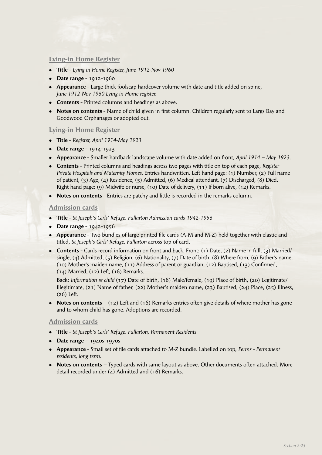## **Lying-in Home Register**

- <sup>l</sup> **Title**  *Lying in Home Register, June 1912-Nov 1960*
- **•** Date range 1912-1960
- **Appearance** Large thick foolscap hardcover volume with date and title added on spine, *June 1912-Nov 1960 Lying in Home register.*
- **Contents** Printed columns and headings as above.
- Notes on contents Name of child given in first column. Children regularly sent to Largs Bay and Goodwood Orphanages or adopted out.

#### **Lying-in Home Register**

- <sup>l</sup> **Title**  *Register, April 1914-May 1923*
- **•** Date range 1914-1923
- <sup>l</sup> **Appearance** Smaller hardback landscape volume with date added on front, *April 1914 May 1923.*
- <sup>l</sup> **Contents** Printed columns and headings across two pages with title on top of each page, *Register Private Hospitals and Maternity Homes.* Entries handwritten. Left hand page: (1) Number, (2) Full name of patient, (3) Age, (4) Residence, (5) Admitted, (6) Medical attendant, (7) Discharged, (8) Died. Right hand page: (9) Midwife or nurse, (10) Date of delivery, (11) If born alive, (12) Remarks.
- **Notes on contents** Entries are patchy and little is recorded in the remarks column.

#### **Admission cards**

- <sup>l</sup> **Title** *St Joseph's Girls' Refuge, Fullarton Admission cards 1942-1956*
- **•** Date range 1942-1956
- **Appearance** Two bundles of large printed file cards (A-M and M-Z) held together with elastic and titled, *St Joseph's Girls' Refuge, Fullarton* across top of card.
- <sup>l</sup> **Contents**  Cards record information on front and back. Front: (1) Date, (2) Name in full, (3) Married/ single, (4) Admitted, (5) Religion, (6) Nationality, (7) Date of birth, (8) Where from, (9) Father's name,  $(10)$  Mother's maiden name,  $(11)$  Address of parent or guardian,  $(12)$  Baptised,  $(13)$  Confirmed, (14) Married, (12) Left, (16) Remarks.

 Back: *Information re child* (17) Date of birth, (18) Male/female, (19) Place of birth, (20) Legitimate/ Illegitimate, (21) Name of father, (22) Mother's maiden name, (23) Baptised, (24) Place, (25) Illness, (26) Left.

• **Notes on contents** – (12) Left and (16) Remarks entries often give details of where mother has gone and to whom child has gone. Adoptions are recorded.

#### **Admission cards**

- <sup>l</sup> **Title** *St Joseph's Girls' Refuge, Fullarton, Permanent Residents*
- **Date range**  $1940s 1970s$
- **Appearance** Small set of file cards attached to M-Z bundle. Labelled on top, *Perms Permanent residents, long term.*
- **Notes on contents** Typed cards with same layout as above. Other documents often attached. More detail recorded under  $(a)$  Admitted and  $(16)$  Remarks.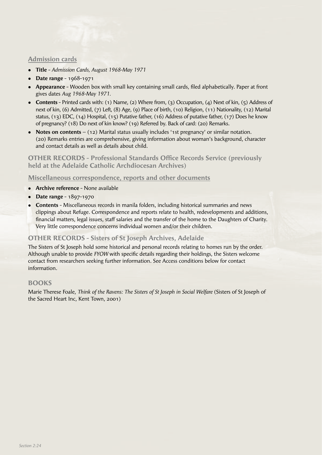## **Admission cards**

- <sup>l</sup> **Title** *Admission Cards, August 1968-May 1971*
- **Date range 1968-1971**
- **Appearance** Wooden box with small key containing small cards, filed alphabetically. Paper at front gives dates *Aug 1968-May 1971.*
- **Contents** Printed cards with: (1) Name, (2) Where from, (3) Occupation, (4) Next of kin, (5) Address of next of kin, (6) Admitted, (7) Left, (8) Age, (9) Place of birth, (10) Religion, (11) Nationality, (12) Marital status, (13) EDC, (14) Hospital, (15) Putative father, (16) Address of putative father, (17) Does he know of pregnancy? (18) Do next of kin know? (19) Referred by. Back of card: (20) Remarks.
- Notes on contents (12) Marital status usually includes '1st pregnancy' or similar notation. (20) Remarks entries are comprehensive, giving information about woman's background, character and contact details as well as details about child.

**OTHER RECORDS - Professional Standards Office Records Service (previously held at the Adelaide Catholic Archdiocesan Archives)**

## **Miscellaneous correspondence, reports and other documents**

- **Archive reference** None available
- **•** Date range 1897-1970
- **Contents** Miscellaneous records in manila folders, including historical summaries and news clippings about Refuge. Correspondence and reports relate to health, redevelopments and additions, financial matters, legal issues, staff salaries and the transfer of the home to the Daughters of Charity. Very little correspondence concerns individual women and/or their children.

# **OTHER RECORDS - Sisters of St Joseph Archives, Adelaide**

The Sisters of St Joseph hold some historical and personal records relating to homes run by the order. Although unable to provide *FYOW* with specific details regarding their holdings, the Sisters welcome contact from researchers seeking further information. See Access conditions below for contact information.

# **BOOKS**

Marie Therese Foale, *Think of the Ravens: The Sisters of St Joseph in Social Welfare* (Sisters of St Joseph of the Sacred Heart Inc, Kent Town, 2001)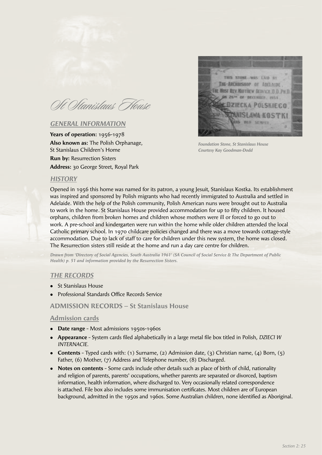Oft Oftanislaus House

## *GENERAL INFORMATION*

**Years of operation:** 1956-1978 **Also known as:** The Polish Orphanage, St Stanislaus Children's Home **Run by:** Resurrection Sisters **Address:** 30 George Street, Royal Park



*Foundation Stone, St Stanislaus House Courtesy Kay Goodman-Dodd*

#### *HISTORY*

Opened in 1956 this home was named for its patron, a young Jesuit, Stanislaus Kostka. Its establishment was inspired and sponsored by Polish migrants who had recently immigrated to Australia and settled in Adelaide. With the help of the Polish community, Polish American nuns were brought out to Australia to work in the home. St Stanislaus House provided accommodation for up to fifty children. It housed orphans, children from broken homes and children whose mothers were ill or forced to go out to work. A pre-school and kindergarten were run within the home while older children attended the local Catholic primary school. In 1970 childcare policies changed and there was a move towards cottage-style accommodation. Due to lack of staff to care for children under this new system, the home was closed. The Resurrection sisters still reside at the home and run a day care centre for children.

*Drawn from 'Directory of Social Agencies, South Australia 1961' (SA Council of Social Service & The Department of Public Health) p. 51 and information provided by the Resurrection Sisters.*

#### *THE RECORDS*

- St Stanislaus House
- Professional Standards Office Records Service

#### **ADMISSION RECORDS – St Stanislaus House**

#### **Admission cards**

- **Date range** Most admissions 1950s-1960s
- **Appearance** System cards filed alphabetically in a large metal file box titled in Polish, *DZIECI W INTERNACIE.*
- <sup>l</sup> **Contents** Typed cards with: (1) Surname, (2) Admission date, (3) Christian name, (4) Born, (5) Father, (6) Mother, (7) Address and Telephone number, (8) Discharged.
- **Notes on contents** Some cards include other details such as place of birth of child, nationality and religion of parents, parents' occupations, whether parents are separated or divorced, baptism information, health information, where discharged to. Very occasionally related correspondence is attached. File box also includes some immunisation certificates. Most children are of European background, admitted in the 1950s and 1960s. Some Australian children, none identified as Aboriginal.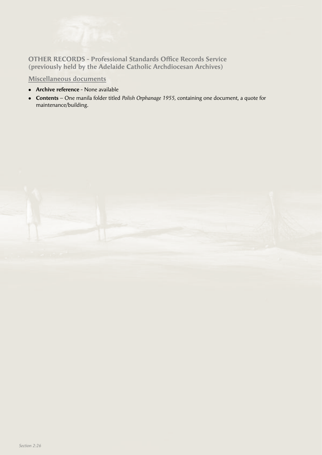

**OTHER RECORDS - Professional Standards Office Records Service (previously held by the Adelaide Catholic Archdiocesan Archives)**

**Miscellaneous documents**

- **Archive reference** None available
- <sup>l</sup> **Contents** One manila folder titled *Polish Orphanage 1955,* containing one document, a quote for maintenance/building.

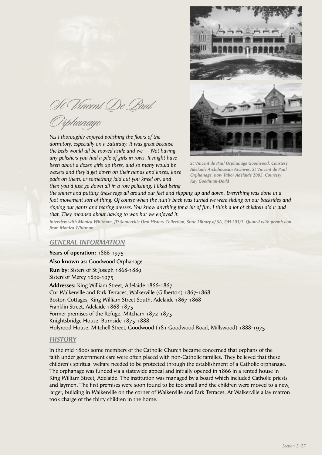St Vincent De Paul

Orphanage

*Yes I thoroughly enjoyed polishing the floors of the dormitory, especially on a Saturday. It was great because the beds would all be moved aside and we -- Not having any polishers you had a pile of girls in rows. It might have been about a dozen girls up there, and so many would be waxers and they'd get down on their hands and knees, knee pads on them, or something laid out you kneel on, and then you'd just go down all in a row polishing. I liked being* 



*St Vincent de Paul Orphanage Goodwood, Courtesy Adelaide Archdiocesan Archives; St Vincent de Paul Orphanage, now Tabor Adelaide 2005, Courtesy Kay Goodman-Dodd*

*the shiner and putting these rags all around our feet and slipping up and down. Everything was done in a foot movement sort of thing. Of course when the nun's back was turned we were sliding on our backsides and*  ripping our pants and tearing dresses. You know anything for a bit of fun. I think a lot of children did it and *that. They moaned about having to wax but we enjoyed it.*

*Interview with Monica Whitman, JD Somerville Oral History Collection, State Library of SA, OH 201/1. Quoted with permission from Monica Whitman.*

## *GENERAL INFORMATION*

**Years of operation:** 1866-1975 **Also known as:** Goodwood Orphanage **Run by:** Sisters of St Joseph 1868-1889

Sisters of Mercy 1890-1975 **Addresses:** King William Street, Adelaide 1866-1867

Cnr Walkerville and Park Terraces, Walkerville (Gilberton) 1867-1868 Boston Cottages, King William Street South, Adelaide 1867-1868 Franklin Street, Adelaide 1868-1875 Former premises of the Refuge, Mitcham 1872-1875 Knightsbridge House, Burnside 1875-1888 Holyrood House, Mitchell Street, Goodwood (181 Goodwood Road, Millswood) 1888-1975

#### *HISTORY*

In the mid 1800s some members of the Catholic Church became concerned that orphans of the faith under government care were often placed with non-Catholic families. They believed that these children's spiritual welfare needed to be protected through the establishment of a Catholic orphanage. The orphanage was funded via a statewide appeal and initially opened in 1866 in a rented house in King William Street, Adelaide. The institution was managed by a board which included Catholic priests and laymen. The first premises were soon found to be too small and the children were moved to a new, larger, building in Walkerville on the corner of Walkerville and Park Terraces. At Walkerville a lay matron took charge of the thirty children in the home.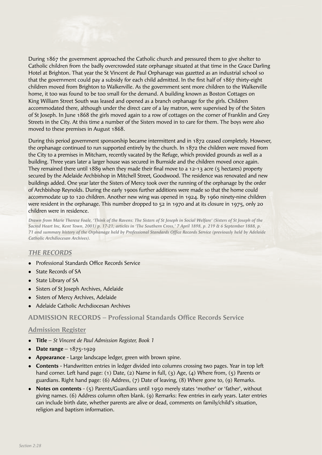

During this period government sponsorship became intermittent and in 1872 ceased completely. However, the orphanage continued to run supported entirely by the church. In 1872 the children were moved from the City to a premises in Mitcham, recently vacated by the Refuge, which provided grounds as well as a building. Three years later a larger house was secured in Burnside and the children moved once again. They remained there until 1889 when they made their final move to a 12-13 acre (5 hectares) property secured by the Adelaide Archbishop in Mitchell Street, Goodwood. The residence was renovated and new buildings added. One year later the Sisters of Mercy took over the running of the orphanage by the order of Archbishop Reynolds. During the early 1900s further additions were made so that the home could accommodate up to 120 children. Another new wing was opened in 1924. By 1960 ninety-nine children were resident in the orphanage. This number dropped to 52 in 1970 and at its closure in 1975, only 20 children were in residence.

*Drawn from Marie Therese Foale, 'Think of the Ravens: The Sisters of St Joseph in Social Welfare' (Sisters of St Joseph of the Sacred Heart Inc, Kent Town, 2001) p. 17-21; articles in 'The Southern Cross,' 7 April 1898, p. 219 & 6 September 1888, p. 71 and summary history of the Orphanage held by Professional Standards Offi ce Records Service (previously held by Adelaide Catholic Archdiocesan Archives).*

## *THE RECORDS*

- Professional Standards Office Records Service
- State Records of SA
- State Library of SA
- Sisters of St Joseph Archives, Adelaide
- Sisters of Mercy Archives, Adelaide
- <sup>l</sup> Adelaide Catholic Archdiocesan Archives

# **ADMISSION RECORDS – Professional Standards Office Records Service**

- **Title** *St Vincent de Paul Admission Register, Book 1*
- **Date range**  $1875-1929$
- <sup>l</sup> **Appearance** Large landscape ledger, green with brown spine.
- **Contents** Handwritten entries in ledger divided into columns crossing two pages. Year in top left hand corner. Left hand page: (1) Date, (2) Name in full, (3) Age, (4) Where from, (5) Parents or guardians. Right hand page: (6) Address, (7) Date of leaving, (8) Where gone to, (9) Remarks.
- Notes on contents  $-$  (5) Parents/Guardians until 1950 merely states 'mother' or 'father', without giving names. (6) Address column often blank. (9) Remarks: Few entries in early years. Later entries can include birth date, whether parents are alive or dead, comments on family/child's situation, religion and baptism information.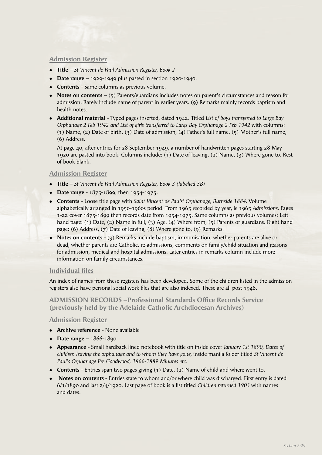## **Admission Register**

- **Title** *St Vincent de Paul Admission Register, Book 2*
- **Date range** 1929-1949 plus pasted in section 1920-1940.
- **Contents** Same columns as previous volume.
- **Notes on contents** (5) Parents/guardians includes notes on parent's circumstances and reason for admission. Rarely include name of parent in earlier years. (9) Remarks mainly records baptism and health notes.
- <sup>l</sup> **Additional material**  Typed pages inserted, dated 1942. Titled *List of boys transferred to Largs Bay Orphanage 2 Feb 1942 and List of girls transferred to Largs Bay Orphanage 2 Feb 1942* with columns: (1) Name, (2) Date of birth, (3) Date of admission, (4) Father's full name, (5) Mother's full name, (6) Address.

 At page 40, after entries for 28 September 1949, a number of handwritten pages starting 28 May 1920 are pasted into book. Columns include: (1) Date of leaving, (2) Name, (3) Where gone to. Rest of book blank.

## **Admission Register**

- <sup>l</sup> **Title** *St Vincent de Paul Admission Register, Book 3 (labelled 3B)*
- **Date range** 1875-1899, then 1954-1975.
- **Contents** Loose title page with *Saint Vincent de Pauls' Orphanage, Burnside 1884.* Volume alphabetically arranged in 1950-1960s period. From 1965 recorded by year, ie 1965 *Admissions.* Pages 1-22 cover 1875-1899 then records date from 1954-1975. Same columns as previous volumes: Left hand page: (1) Date, (2) Name in full, (3) Age, (4) Where from, (5) Parents or guardians. Right hand page: (6) Address, (7) Date of leaving, (8) Where gone to, (9) Remarks.
- **Notes on contents** (9) Remarks include baptism, immunisation, whether parents are alive or dead, whether parents are Catholic, re-admissions, comments on family/child situation and reasons for admission, medical and hospital admissions. Later entries in remarks column include more information on family circumstances.

## **Individual files**

An index of names from these registers has been developed. Some of the children listed in the admission registers also have personal social work files that are also indexed. These are all post  $1948$ .

**ADMISSION RECORDS –Professional Standards Office Records Service (previously held by the Adelaide Catholic Archdiocesan Archives)**

- **Archive reference** None available
- $\bullet$  **Date range** 1866-1890
- <sup>l</sup> **Appearance** Small hardback lined notebook with title on inside cover *January 1st 1890, Dates of children leaving the orphanage and to whom they have gone,* inside manila folder titled *St Vincent de Paul's Orphanage Pre Goodwood, 1866-1889 Minutes etc.*
- **Contents** Entries span two pages giving (1) Date, (2) Name of child and where went to.
- **Notes on contents** Entries state to whom and/or where child was discharged. First entry is dated 6/1/1890 and last 2/4/1920. Last page of book is a list titled *Children returned 1903* with names and dates.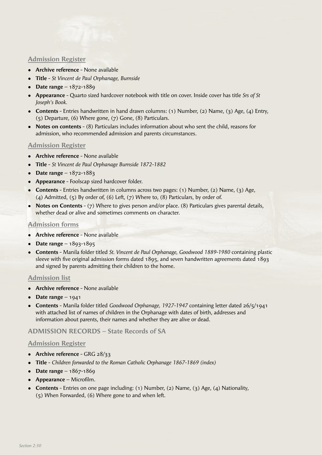## **Admission Register**

- **Archive reference** None available
- **Title** *St Vincent de Paul Orphanage, Burnside*
- **•** Date range 1872-1889
- <sup>l</sup> **Appearance** Quarto sized hardcover notebook with title on cover. Inside cover has title *Srs of St Joseph's Book.*
- <sup>l</sup> **Contents**  Entries handwritten in hand drawn columns: (1) Number, (2) Name, (3) Age, (4) Entry, (5) Departure, (6) Where gone, (7) Gone, (8) Particulars.
- **Notes on contents** (8) Particulars includes information about who sent the child, reasons for admission, who recommended admission and parents circumstances.

## **Admission Register**

- **Archive reference** None available
- <sup>l</sup> **Title** *St Vincent de Paul Orphanage Burnside 1872-1882*
- <sup>l</sup> **Date range** 1872-1883
- **Appearance** Foolscap sized hardcover folder.
- **contents** Entries handwritten in columns across two pages: (1) Number, (2) Name, (3) Age, (4) Admitted, (5) By order of, (6) Left, (7) Where to, (8) Particulars, by order of.
- **Notes on Contents** (7) Where to gives person and/or place. (8) Particulars gives parental details, whether dead or alive and sometimes comments on character.

# **Admission forms**

- **Archive reference** None available
- **Date range**  $1893-1895$
- <sup>l</sup> **Contents** Manila folder titled *St. Vincent de Paul Orphanage, Goodwood 1889-1980* containing plastic sleeve with five original admission forms dated  $1895$ , and seven handwritten agreements dated  $1893$ and signed by parents admitting their children to the home.

## **Admission list**

- **Archive reference** None available
- Date range  $-1941$
- <sup>l</sup> **Contents** Manila folder titled *Goodwood Orphanage, 1927-1947* containing letter dated 26/5/1941 with attached list of names of children in the Orphanage with dates of birth, addresses and information about parents, their names and whether they are alive or dead.

## **ADMISSION RECORDS – State Records of SA**

- **•** Archive reference GRG 28/33
- <sup>l</sup> **Title** *Children forwarded to the Roman Catholic Orphanage 1867-1869 (index)*
- **Date range** 1867-1869
- **•** Appearance Microfilm.
- <sup>l</sup> **Contents** Entries on one page including: (1) Number, (2) Name, (3) Age, (4) Nationality, (5) When Forwarded, (6) Where gone to and when left.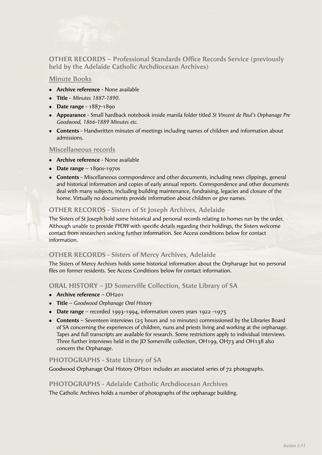

**OTHER RECORDS – Professional Standards Office Records Service (previously held by the Adelaide Catholic Archdiocesan Archives)**

#### **Minute Books**

- **Archive reference** None available
- <sup>l</sup> **Title** *Minutes 1887-1890.*
- **•** Date range 1887-1890
- <sup>l</sup> **Appearance** Small hardback notebook inside manila folder titled *St Vincent de Paul's Orphanage Pre Goodwood, 1866-1889 Minutes etc.*
- **Contents** Handwritten minutes of meetings including names of children and information about admissions.

#### **Miscellaneous records**

- **Archive reference** None available
- **•** Date range  $1890s 1970s$
- **Contents** Miscellaneous correspondence and other documents, including news clippings, general and historical information and copies of early annual reports. Correspondence and other documents deal with many subjects, including building maintenance, fundraising, legacies and closure of the home. Virtually no documents provide information about children or give names.

# **OTHER RECORDS - Sisters of St Joseph Archives, Adelaide**

The Sisters of St Joseph hold some historical and personal records relating to homes run by the order. Although unable to provide *FYOW* with specific details regarding their holdings, the Sisters welcome contact from researchers seeking further information. See Access conditions below for contact information.

## **OTHER RECORDS - Sisters of Mercy Archives, Adelaide**

The Sisters of Mercy Archives holds some historical information about the Orphanage but no personal files on former residents. See Access Conditions below for contact information.

# **ORAL HISTORY – JD Somerville Collection, State Library of SA**

- **•** Archive reference OH<sub>201</sub>
- <sup>l</sup> **Title** *Goodwood Orphanage Oral History*
- **Date range** recorded 1993-1994, information covers years 1922 -1975
- **Contents** Seventeen interviews (25 hours and 10 minutes) commissioned by the Libraries Board of SA concerning the experiences of children, nuns and priests living and working at the orphanage. Tapes and full transcripts are available for research. Some restrictions apply to individual interviews. Three further interviews held in the JD Somerville collection, OH199, OH73 and OH138 also concern the Orphanage.

## **PHOTOGRAPHS - State Library of SA**

Goodwood Orphanage Oral History OH201 includes an associated series of 72 photographs.

## **PHOTOGRAPHS - Adelaide Catholic Archdiocesan Archives**

The Catholic Archives holds a number of photographs of the orphanage building.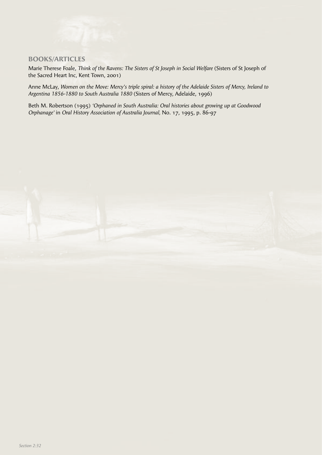# **BOOKS/ARTICLES**

Marie Therese Foale, *Think of the Ravens: The Sisters of St Joseph in Social Welfare* (Sisters of St Joseph of the Sacred Heart Inc, Kent Town, 2001)

Anne McLay, *Women on the Move: Mercy's triple spiral: a history of the Adelaide Sisters of Mercy, Ireland to Argentina 1856-1880 to South Australia 1880* (Sisters of Mercy, Adelaide, 1996)

Beth M. Robertson (1995) *'Orphaned in South Australia: Oral histories about growing up at Goodwood Orphanage'* in *Oral History Association of Australia Journal,* No. 17, 1995, p. 86-97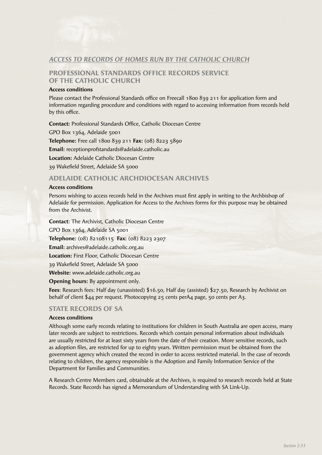# *ACCESS TO RECORDS OF HOMES RUN BY THE CATHOLIC CHURCH*

# **PROFESSIONAL STANDARDS OFFICE RECORDS SERVICE OF THE CATHOLIC CHURCH**

#### **Access conditions**

Please contact the Professional Standards office on Freecall 1800 839 211 for application form and information regarding procedure and conditions with regard to accessing information from records held by this office.

**Contact: Professional Standards Office, Catholic Diocesan Centre** 

GPO Box 1364, Adelaide 5001

**Telephone:** Free call 1800 839 211 **Fax:** (08) 8223 5890

**Email:** receptionprofstandards@adelaide.catholic.au

**Location:** Adelaide Catholic Diocesan Centre

39 Wakefield Street, Adelaide SA 5000

## **ADELAIDE CATHOLIC ARCHDIOCESAN ARCHIVES**

#### **Access conditions**

Persons wishing to access records held in the Archives must first apply in writing to the Archbishop of Adelaide for permission. Application for Access to the Archives forms for this purpose may be obtained from the Archivist.

**Contact**: The Archivist, Catholic Diocesan Centre GPO Box 1364, Adelaide SA 5001 **Telephone:** (08) 82108115 **Fax:** (08) 8223 2307 **Email:** archives@adelaide.catholic.org.au **Location:** First Floor, Catholic Diocesan Centre 39 Wakefield Street, Adelaide SA 5000 **Website:** www.adelaide.catholic.org.au

## **Opening hours:** By appointment only.

**Fees**: Research fees: Half day (unassisted) \$16.50, Half day (assisted) \$27.50, Research by Archivist on behalf of client \$44 per request. Photocopying 25 cents perA4 page, 50 cents per A3.

## **STATE RECORDS OF SA**

#### **Access conditions**

Although some early records relating to institutions for children in South Australia are open access, many later records are subject to restrictions. Records which contain personal information about individuals are usually restricted for at least sixty years from the date of their creation. More sensitive records, such as adoption files, are restricted for up to eighty years. Written permission must be obtained from the government agency which created the record in order to access restricted material. In the case of records relating to children, the agency responsible is the Adoption and Family Information Service of the Department for Families and Communities.

A Research Centre Members card, obtainable at the Archives, is required to research records held at State Records. State Records has signed a Memorandum of Understanding with SA Link-Up.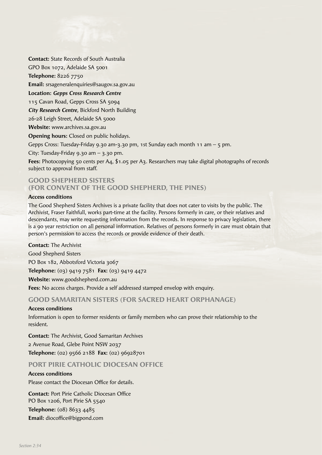

**Contact:** State Records of South Australia GPO Box 1072, Adelaide SA 5001

**Telephone:** 8226 7750

**Email:** srsageneralenquiries@saugov.sa.gov.au

**Location:** *Gepps Cross Research Centre*

115 Cavan Road, Gepps Cross SA 5094

*City Research Centre,* Bickford North Building

26-28 Leigh Street, Adelaide SA 5000

**Website:** www.archives.sa.gov.au

**Opening hours:** Closed on public holidays.

Gepps Cross: Tuesday-Friday 9.30 am-3.30 pm, 1st Sunday each month 11 am – 5 pm.

City: Tuesday-Friday 9.30 am  $-$  3.30 pm.

**Fees:** Photocopying 50 cents per A4, \$1.05 per A3. Researchers may take digital photographs of records subject to approval from staff.

# **GOOD SHEPHERD SISTERS (FOR CONVENT OF THE GOOD SHEPHERD, THE PINES)**

#### **Access conditions**

The Good Shepherd Sisters Archives is a private facility that does not cater to visits by the public. The Archivist, Fraser Faithfull, works part-time at the facility. Persons formerly in care, or their relatives and descendants, may write requesting information from the records. In response to privacy legislation, there is a 90 year restriction on all personal information. Relatives of persons formerly in care must obtain that person's permission to access the records or provide evidence of their death.

**Contact:** The Archivist Good Shepherd Sisters PO Box 182, Abbotsford Victoria 3067 **Telephone:** (03) 9419 7581 **Fax:** (03) 9419 4472 **Website:** www.goodshepherd.com.au **Fees:** No access charges. Provide a self addressed stamped envelop with enquiry.

# **GOOD SAMARITAN SISTERS (FOR SACRED HEART ORPHANAGE)**

## **Access conditions**

Information is open to former residents or family members who can prove their relationship to the resident.

**Contact:** The Archivist, Good Samaritan Archives 2 Avenue Road, Glebe Point NSW 2037 **Telephone:** (02) 9566 2188 **Fax:** (02) 96928701

# **PORT PIRIE CATHOLIC DIOCESAN OFFICE**

## **Access conditions**

Please contact the Diocesan Office for details.

**Contact:** Port Pirie Catholic Diocesan Office PO Box 1206, Port Pirie SA 5540 **Telephone:** (08) 8633 4485 **Email:** diocoffice@bigpond.com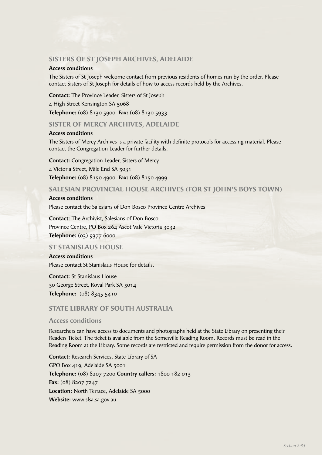# **SISTERS OF ST JOSEPH ARCHIVES, ADELAIDE**

#### **Access conditions**

The Sisters of St Joseph welcome contact from previous residents of homes run by the order. Please contact Sisters of St Joseph for details of how to access records held by the Archives.

**Contact:** The Province Leader, Sisters of St Joseph

4 High Street Kensington SA 5068

**Telephone:** (08) 8130 5900 **Fax:** (08) 8130 5933

#### **SISTER OF MERCY ARCHIVES, ADELAIDE**

#### **Access conditions**

The Sisters of Mercy Archives is a private facility with definite protocols for accessing material. Please contact the Congregation Leader for further details.

**Contact:** Congregation Leader, Sisters of Mercy 4 Victoria Street, Mile End SA 5031 **Telephone:** (08) 8150 4900 **Fax:** (08) 8150 4999

#### **SALESIAN PROVINCIAL HOUSE ARCHIVES (FOR ST JOHN'S BOYS TOWN)**

#### **Access conditions**

Please contact the Salesians of Don Bosco Province Centre Archives

**Contact**: The Archivist, Salesians of Don Bosco Province Centre, PO Box 264 Ascot Vale Victoria 3032 **Telephone:** (03) 9377 6000

#### **ST STANISLAUS HOUSE**

**Access conditions** Please contact St Stanislaus House for details.

**Contact:** St Stanislaus House 30 George Street, Royal Park SA 5014 **Telephone:** (08) 8345 5410

## **STATE LIBRARY OF SOUTH AUSTRALIA**

#### **Access conditions**

Researchers can have access to documents and photographs held at the State Library on presenting their Readers Ticket. The ticket is available from the Somerville Reading Room. Records must be read in the Reading Room at the Library. Some records are restricted and require permission from the donor for access.

**Contact:** Research Services, State Library of SA GPO Box 419, Adelaide SA 5001 **Telephone:** (08) 8207 7200 **Country callers:** 1800 182 013 **Fax:** (08) 8207 7247 Location: North Terrace, Adelaide SA 5000 **Website:** www.slsa.sa.gov.au